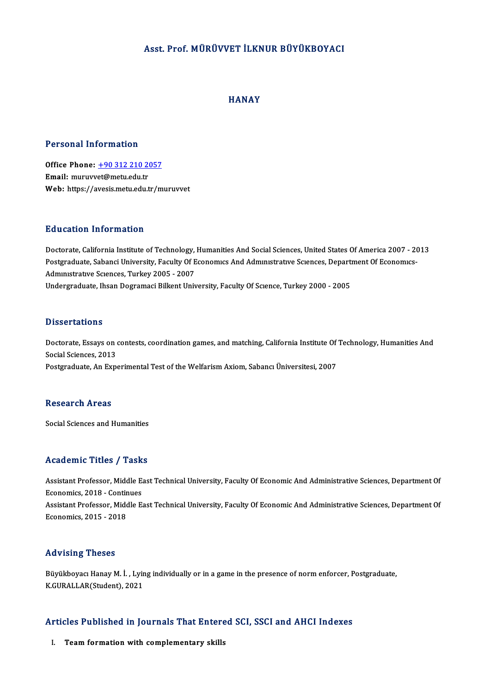### Asst. Prof.MÜRÜVVET İLKNUR BÜYÜKBOYACI

### **HANAY**

### Personal Information

Personal Information<br>Office Phone: <u>+90 312 210 2057</u><br>Email: murusset@matu.edu.tr office Phone: <u>+90 312 210 20</u><br>Email: muruvv[et@metu.edu.tr](tel:+90 312 210 2057)<br>Web: https://aveais.metu.edu.tr Email: muruvvet@metu.edu.tr<br>Web: https://avesis.metu.edu.tr/muruvvet

### Education Information

Education Information<br>Doctorate, California Institute of Technology, Humanities And Social Sciences, United States Of America 2007 - 2013<br>Restaugduate Sabanei University, Faculty Of Feenamus And Admunitrative Sciences, Dep Polatedus Priver Interest<br>Doctorate, California Institute of Technology, Humanities And Social Sciences, United States Of America 2007 - 2<br>Postgraduate, Sabanci University, Faculty Of Economics And Administrative Sciences, Doctorate, California Institute of Technology,<br>Postgraduate, Sabanci University, Faculty Of E<br>Administrative Sciences, Turkey 2005 - 2007<br>Undergraduate, Ibean Dogramaci Billiant Unit Postgraduate, Sabanci University, Faculty Of Economics And Administrative Sciences, Department Of Economics-Administrative Sciences, Turkey 2005 - 2007<br>Undergraduate, Ihsan Dogramaci Bilkent University, Faculty Of Science,

### **Dissertations**

**Dissertations**<br>Doctorate, Essays on contests, coordination games, and matching, California Institute Of Technology, Humanities And<br>Social Sciences, 2012 Brook carrons<br>Doctorate, Essays on<br>Social Sciences, 2013<br>Bostavaduate, An Evro Doctorate, Essays on contests, coordination games, and matching, California Institute Of<br>Social Sciences, 2013<br>Postgraduate, An Experimental Test of the Welfarism Axiom, Sabancı Üniversitesi, 2007

Postgraduate, An Experimental Test of the Welfarism Axiom, Sabancı Üniversitesi, 2007<br>Research Areas

Social Sciences and Humanities

### Academic Titles / Tasks

Academic Titles / Tasks<br>Assistant Professor, Middle East Technical University, Faculty Of Economic And Administrative Sciences, Department Of Economics, 2018 - Continues<br>Economics, 2018 - Continues<br>Assistant Brofessor, Middle Ea Assistant Professor, Middle East Technical University, Faculty Of Economic And Administrative Sciences, Department Of<br>Economics, 2018 - Continues<br>Assistant Professor, Middle East Technical University, Faculty Of Economic A Economics, 2018 - Continues<br>Assistant Professor, Middle East Technical University, Faculty Of Economic And Administrative Sciences, Department Of<br>Economics, 2015 - 2018

### Advising Theses

Advising Theses<br>Büyükboyacı Hanay M. İ. , Lying individually or in a game in the presence of norm enforcer, Postgraduate,<br>K.CURALLAR(Student), 2021 rra v rorrig - rrooco<br>Büyükboyacı Hanay M. İ. , Lyir<br>K.GURALLAR(Student), 2021

# Articles Published in Journals That Entered SCI, SSCI and AHCI Indexes rticles Published in Journals That Entere<br>I. Team formation with complementary skills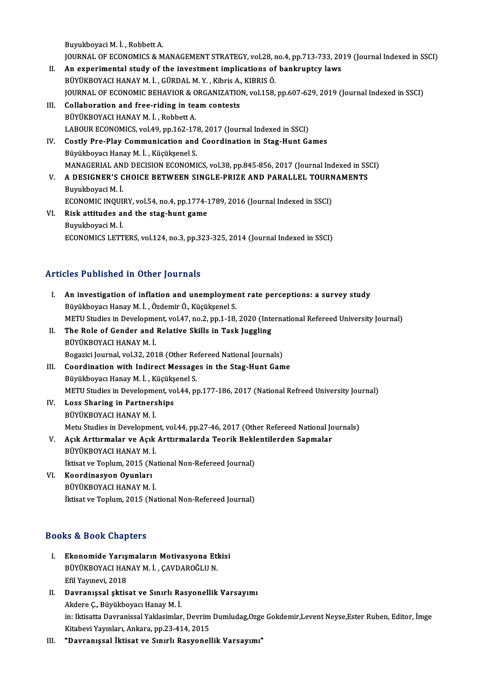Buyukboyaci M. İ., Robbett A.

Buyukboyaci M. İ. , Robbett A.<br>JOURNAL OF ECONOMICS & MANAGEMENT STRATEGY, vol.28, no.4, pp.713-733, 2019 (Journal Indexed in SSCI)<br>An experimental study of the investment impliestions of benknuntsy lows

- Buyukboyaci M. İ., Robbett A.<br>JOURNAL OF ECONOMICS & MANAGEMENT STRATEGY, vol.28, no.4, pp.713-733, 20<br>II. An experimental study of the investment implications of bankruptcy laws<br>PUVUKPOVACLHANAY M. L. CÜPDAL M. Y., Kibris JOURNAL OF ECONOMICS & MANAGEMENT STRATEGY, vol.28, r<br>An experimental study of the investment implications of<br>BÜYÜKBOYACI HANAY M. İ. , GÜRDAL M. Y. , Kibris A., KIBRIS Ö.<br>JOURNAL OF ECONOMIC BEHAVIOR & ORGANIZATION vol.15 An experimental study of the investment implications of bankruptcy laws<br>BÜYÜKBOYACI HANAY M. İ. , GÜRDAL M. Y. , Kibris A., KIBRIS Ö.<br>JOURNAL OF ECONOMIC BEHAVIOR & ORGANIZATION, vol.158, pp.607-629, 2019 (Journal Indexed BÜYÜKBOYACI HANAY M. İ. , GÜRDAL M. Y. , Kibris A., KIBRIS Ö.<br>JOURNAL OF ECONOMIC BEHAVIOR & ORGANIZATION, vol.158,<br>III. Collaboration and free-riding in team contests<br>BÜYÜKBOYACI HANAY M. İ. , Robbett A.
- JOURNAL OF ECONOMIC BEHAVIOR & C<br>Collaboration and free-riding in tea<br>BÜYÜKBOYACI HANAY M. İ. , Robbett A. LABOUR ECONOMICS, vol.49, pp.162-178, 2017 (Journal Indexed in SSCI) BÜYÜKBOYACI HANAY M. İ. , Robbett A.<br>LABOUR ECONOMICS, vol.49, pp.162-178, 2017 (Journal Indexed in SSCI)<br>IV. Costly Pre-Play Communication and Coordination in Stag-Hunt Games<br>Pürültboyacı Hanay M. İ. Küçüksonel S.

## LABOUR ECONOMICS, vol.49, pp.162-17;<br>Costly Pre-Play Communication and<br>Büyükboyacı Hanay M. İ. , Küçükşenel S.<br>MANACEPLAL AND DECISION ECONOMI Costly Pre-Play Communication and Coordination in Stag-Hunt Games<br>Büyükboyacı Hanay M. İ. , Küçükşenel S.<br>MANAGERIAL AND DECISION ECONOMICS, vol.38, pp.845-856, 2017 (Journal Indexed in SSCI)<br>A DESICNER'S CHOICE RETWEEN SI Büyükboyacı Hanay M. İ. , Küçükşenel S.<br>MANAGERIAL AND DECISION ECONOMICS, vol.38, pp.845-856, 2017 (Journal Indexed in SS<br>V. – A DESIGNER'S CHOICE BETWEEN SINGLE-PRIZE AND PARALLEL TOURNAMENTS<br>Buyukboyaci M. İ.

- MANAGERIAL AN<br>**A DESIGNER'S C<br>Buyukboyaci M. İ.**<br>ECONOMIC INOUL A DESIGNER'S CHOICE BETWEEN SINGLE-PRIZE AND PARALLEL TOURN<br>Buyukboyaci M. İ.<br>ECONOMIC INQUIRY, vol.54, no.4, pp.1774-1789, 2016 (Journal Indexed in SSCI)<br>Bisk attitudes and the stag bunt game.
- VI. Risk attitudes and the stag-hunt game ECONOMIC INQUI<br>Risk attitudes al<br>Buyukboyaci M. İ.<br>ECONOMICS I ETT ECONOMICS LETTERS, vol.124, no.3, pp.323-325, 2014 (Journal Indexed in SSCI)

### Articles Published in Other Journals

rticles Published in Other Journals<br>I. An investigation of inflation and unemployment rate perceptions: a survey study An investigation of inflation and unemployme<br>Büyükboyacı Hanay M. İ. , Özdemir Ö., Küçükşenel S.<br>METU Studies in Development vel 47, no 3, nn 1, 19 An investigation of inflation and unemployment rate perceptions: a survey study<br>Büyükboyacı Hanay M. İ. , Özdemir Ö., Küçükşenel S.<br>METU Studies in Development, vol.47, no.2, pp.1-18, 2020 (International Refereed Universit Büyükboyacı Hanay M. İ. , Özdemir Ö., Küçükşenel S.<br>METU Studies in Development, vol.47, no.2, pp.1-18, 2020 (Inte<br>II. The Role of Gender and Relative Skills in Task Juggling<br>PÜVÜYPOVACI HANAY M. İ METU Studies in Developme<br>The Role of Gender and<br>BÜYÜKBOYACI HANAY M. İ.<br>Bogazici Journal val 22, 201 The Role of Gender and Relative Skills in Task Juggling<br>BÜYÜKBOYACI HANAY M. İ.<br>Bogazici Journal, vol.32, 2018 (Other Refereed National Journals)<br>Coordination with Indinest Messages in the Stag Hunt Com BÜYÜKBOYACI HANAY M. İ.<br>Bogazici Journal, vol.32, 2018 (Other Refereed National Journals)<br>III. Coordination with Indirect Messages in the Stag-Hunt Game<br>Büyükboyacı Hanay M. İ. , Küçükşenel S. Bogazici Journal, vol.32, 2018 (Other Re<br>Coordination with Indirect Message<br>Büyükboyacı Hanay M. İ. , Küçükşenel S.<br>METU Studies in Develenment vol.44, pr Coordination with Indirect Messages in the Stag-Hunt Game<br>Büyükboyacı Hanay M. İ. , Küçükşenel S.<br>METU Studies in Development, vol.44, pp.177-186, 2017 (National Refreed University Journal)<br>Loss Sharing in Bartnarshing IV. Loss Sharing in Partnerships METU Studies in Developme<br>Loss Sharing in Partners<br>BÜYÜKBOYACI HANAY M. İ.<br>Metu Studies in Developmes Metu Studies in Development, vol.44, pp.27-46, 2017 (Other Refereed National Journals) BÜYÜKBOYACI HANAY M. İ.<br>Metu Studies in Development, vol.44, pp.27-46, 2017 (Other Refereed National Jo<br>V. Açık Arttırmalar ve Açık Arttırmalarda Teorik Beklentilerden Sapmalar<br>PÜYÜYPOYACI HANAY M. İ Metu Studies in Developmer<br>Açık Arttırmalar ve Açık<br>BÜYÜKBOYACI HANAY M. İ.<br><sup>İltisat ve Tonlum 2015 (No</sup> Açık Arttırmalar ve Açık Arttırmalarda Teorik Bekle<br>BÜYÜKBOYACI HANAY M. İ.<br>İktisat ve Toplum, 2015 (National Non-Refereed Journal)<br>Koordinasyon Oyunları BÜYÜKBOYACI HANAY M. İ.<br>İktisat ve Toplum, 2015 (Na<br>VI. Koordinasyon Oyunları<br>BÜYÜKBOYACI HANAY M. İ. İktisat ve Toplum, 2015 (Na<br><mark>Koordinasyon Oyunları</mark><br>BÜYÜKBOYACI HANAY M. İ.<br><sup>İltisat ve Toplum, 2015 (Na</sup> İktisat ve Toplum, 2015 (National Non-Refereed Journal)

### Books&Book Chapters

- I. Ekonomide Yarışmaların Motivasyona Etkisi BÜYÜKBOYACI HANAY M. İ., ÇAVDAROĞLUN. EfilYayınevi,2018 BÜYÜKBOYACI HANAY M. İ. , ÇAVDAROĞLU N.<br>Efil Yayınevi, 2018<br>II. Davranışsal şktisat ve Sınırlı Rasyonellik Varsayımı<br>Aldere C. Büyültbeyar Hanev M. İ.
- Efil Yayınevi, 2018<br>Davranışsal şktisat ve Sınırlı Ra<br>Akdere Ç., Büyükboyacı Hanay M. İ.<br>in: Iltisatta Dayranissal Yaklasımlan Davranışsal şktisat ve Sınırlı Rasyonellik Varsayımı<br>Akdere Ç., Büyükboyacı Hanay M. İ.<br>in: Iktisatta Davranissal Yaklasimlar, Devrim Dumludag,Ozge Gokdemir,Levent Neyse,Ester Ruben, Editor, İmge<br>Kitabeyi Yevunları, Ankara Akdere Ç., Büyükboyacı Hanay M. İ.<br>in: Iktisatta Davranissal Yaklasimlar, Devrim<br>Kitabevi Yayınları, Ankara, pp.23-414, 2015<br>"Davranıssal İktisat ve Sınırlı Basyonal. Kitabevi Yayınları, Ankara, pp.23-414, 2015<br>III. "Davranışsal İktisat ve Sınırlı Rasyonellik Varsayımı"
-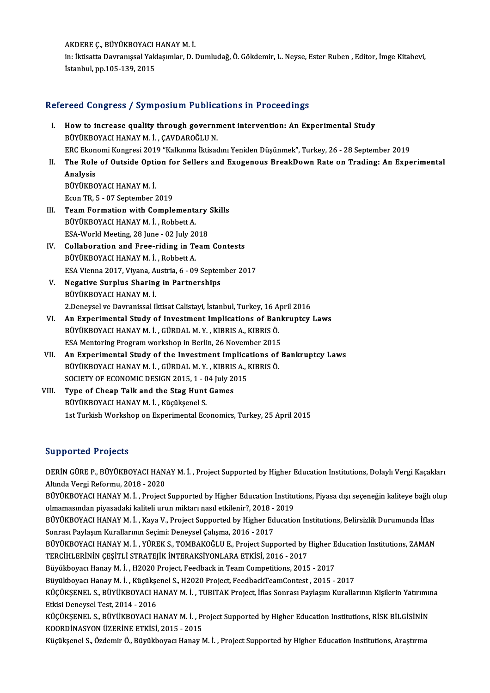**AKDERE Ç., BÜYÜKBOYACI HANAY M. İ.**<br>İni İltisatta Deuranissel Vaklasımlar, D. I

in: İktisatta Davranışsal Yaklaşımlar, D. Dumludağ, Ö. Gökdemir, L. Neyse, Ester Ruben , Editor, İmge Kitabevi,<br>İstanbul, pp.105-139, 2015 AKDERE Ç., BÜYÜKBOYACI I<br>in: İktisatta Davranışsal Yak<br>İstanbul, pp.105-139, 2015

### Refereed Congress / Symposium Publications in Proceedings

- efereed Congress / Symposium Publications in Proceedings<br>I. How to increase quality through government intervention: An Experimental Study<br>PUVUEROVACLHANAY M.J. GAVDAROČLUN BÜYÜKBOYACI HANAY M. İ., ÇAVDAROĞLU N.<br>BÜYÜKBOYACI HANAY M. İ., ÇAVDAROĞLU N.<br>EPC Ekanomi Kongresi 2019 "Kallanma İltisad How to increase quality through government intervention: An Experimental Study<br>BÜYÜKBOYACI HANAY M. İ. , ÇAVDAROĞLU N.<br>ERC Ekonomi Kongresi 2019 "Kalkınma İktisadını Yeniden Düşünmek", Turkey, 26 - 28 September 2019<br>The Bo BÜYÜKBOYACI HANAY M. İ. , ÇAVDAROĞLU N.<br>ERC Ekonomi Kongresi 2019 "Kalkınma İktisadını Yeniden Düşünmek", Turkey, 26 - 28 September 2019<br>II. The Role of Outside Option for Sellers and Exogenous BreakDown Rate on Tradin
- ERC Ekon<br>The Role<br>Analysis<br>PüvüvPO The Role of Outside Opti<br>Analysis<br>BÜYÜKBOYACI HANAY M. İ.<br>Feen TP. 5., 97 Sontamber 2 Analysis<br>BÜYÜKBOYACI HANAY M. İ.<br>Econ TR, 5 - 07 September 2019 BÜYÜKBOYACI HANAY M. İ.<br>Econ TR, 5 - 07 September 2019<br>III. Team Formation with Complementary Skills<br>PÜVÜYPOVACI HANAY M. İ. Pebbett A
- Econ TR, 5 07 September 2019<br>Team Formation with Complements<br>BÜYÜKBOYACI HANAY M. İ., Robbett A. Team Formation with Complementary<br>BÜYÜKBOYACI HANAY M. İ. , Robbett A.<br>ESA-World Meeting, 28 June - 02 July 2018<br>Callabaration and Eree riding in Team
- BÜYÜKBOYACI HANAY M. İ. , Robbett A.<br>ESA-World Meeting, 28 June 02 July 2018<br>IV. Collaboration and Free-riding in Team Contests<br>BÜYÜKBOYACI HANAY M. İ. , Robbett A. ESA-World Meeting, 28 June - 02 July 20<br>**Collaboration and Free-riding in Te**<br>BÜYÜKBOYACI HANAY M. İ. , Robbett A. Collaboration and Free-riding in Team Contests<br>BÜYÜKBOYACI HANAY M. İ. , Robbett A.<br>ESA Vienna 2017, Viyana, Austria, 6 - 09 September 2017<br>Nogatiya Surplus Sharing in Partnarchins
- V. Negative Surplus Sharing in Partnerships ESA Vienna 2017, Viyana, A<br><mark>Negative Surplus Sharin</mark><br>BÜYÜKBOYACI HANAY M. İ.<br>2 Denevçel ve Devrenissel Il Negative Surplus Sharing in Partnerships<br>BÜYÜKBOYACI HANAY M. İ.<br>2.Deneysel ve Davranissal Iktisat Calistayi, İstanbul, Turkey, 16 April 2016<br>An Evnerimental Study of Investment Implications of Bankruntsy.
- VI. An Experimental Study of Investment Implications of Bankruptcy Laws<br>BÜYÜKBOYACI HANAY M. İ., GÜRDAL M. Y., KIBRIS A., KIBRIS Ö. 2.Deneysel ve Davranissal Iktisat Calistayi, İstanbul, Turkey, 16 A<br>An Experimental Study of Investment Implications of Ban<br>BÜYÜKBOYACI HANAY M. İ. , GÜRDAL M. Y. , KIBRIS A., KIBRIS Ö.<br>ESA Montoring Program warkaban in Ba An Experimental Study of Investment Implications of Bank<br>BÜYÜKBOYACI HANAY M. İ., GÜRDAL M. Y., KIBRIS A., KIBRIS Ö.<br>ESA Mentoring Program workshop in Berlin, 26 November 2015<br>An Experimental Study of the Investment Implic BÜYÜKBOYACI HANAY M. İ., GÜRDAL M. Y., KIBRIS A., KIBRIS Ö.<br>ESA Mentoring Program workshop in Berlin, 26 November 2015<br>VII. **An Experimental Study of the Investment Implications of Bankruptcy Laws**<br>PÜYÜKPOYACI HANAY M. İ.
- ESA Mentoring Program workshop in Berlin, 26 November 2015<br>An Experimental Study of the Investment Implications of<br>BÜYÜKBOYACI HANAY M. İ., GÜRDAL M. Y., KIBRIS A., KIBRIS Ö.<br>SOCIETY OF ECONOMIC DESICN 2015-1-04 July 2015 An Experimental Study of the Investment Implica<br>BÜYÜKBOYACI HANAY M. İ. , GÜRDAL M. Y. , KIBRIS A., I<br>SOCIETY OF ECONOMIC DESIGN 2015, 1 - 04 July 2015<br>Tune of Cheen Talk and the Stag Hunt Cames BÜYÜKBOYACI HANAY M. İ., GÜRDAL M. Y., KIBRIS<br>SOCIETY OF ECONOMIC DESIGN 2015, 1 - 04 July 20<br>VIII. Type of Cheap Talk and the Stag Hunt Games<br>PUVUKPOYACI HANAY M. İ. Küsülternel S
- SOCIETY OF ECONOMIC DESIGN 2015, 1 0<br>Type of Cheap Talk and the Stag Hunt<br>BÜYÜKBOYACI HANAY M. İ., Küçükşenel S.<br>1st Turkish Workshop on Eunorimental Ess BÜYÜKBOYACI HANAY M. İ. , Küçükşenel S.<br>1st Turkish Workshop on Experimental Economics, Turkey, 25 April 2015

### Supported Projects

Supported Projects<br>DERİN GÜRE P., BÜYÜKBOYACI HANAY M. İ. , Project Supported by Higher Education Institutions, Dolaylı Vergi Kaçakları<br>Altında Vergi Befermu, 2018, .2020 Bupportou 110 joure<br>DERİN GÜRE P., BÜYÜKBOYACI HAN.<br>Altında Vergi Reformu, 2018 - 2020<br>PÜVÜKROYACI HANAY M.İ., Breject DERİN GÜRE P., BÜYÜKBOYACI HANAY M. İ. , Project Supported by Higher Education Institutions, Dolaylı Vergi Kaçakları<br>Altında Vergi Reformu, 2018 - 2020<br>BÜYÜKBOYACI HANAY M. İ. , Project Supported by Higher Education Instit

Altında Vergi Reformu, 2018 - 2020<br>BÜYÜKBOYACI HANAY M. İ. , Project Supported by Higher Education Institu<br>olmamasından piyasadaki kaliteli urun miktarı nasıl etkilenir?, 2018 - 2019<br>PÜYÜKPOYACI HANAY M. İ., Kaya V., Proje BÜYÜKBOYACI HANAY M. İ. , Project Supported by Higher Education Institutions, Piyasa dışı seçeneğin kaliteye bağlı o<br>olmamasından piyasadaki kaliteli urun miktarı nasıl etkilenir?, 2018 - 2019<br>BÜYÜKBOYACI HANAY M. İ. , Kay

olmamasından piyasadaki kaliteli urun miktarı nasıl etkilenir?, 2018 - 2019<br>BÜYÜKBOYACI HANAY M. İ. , Kaya V., Project Supported by Higher Education Institutions, Belirsizlik Durumunda İflas<br>Sonrası Paylaşım Kurallarının S BÜYÜKBOYACI HANAY M. İ. , Kaya V., Project Supported by Higher Education Institutions, Belirsizlik Durumunda İflas<br>Sonrası Paylaşım Kurallarının Seçimi: Deneysel Çalışma, 2016 - 2017<br>BÜYÜKBOYACI HANAY M. İ. , YÜREK S., TOM

Sonrası Paylaşım Kurallarının Seçimi: Deneysel Çalışma, 2016 - 2017<br>BÜYÜKBOYACI HANAY M. İ. , YÜREK S., TOMBAKOĞLU E., Project Supported by l<br>TERCİHLERİNİN ÇEŞİTLİ STRATEJİK İNTERAKSİYONLARA ETKİSİ, 2016 - 2017<br>Büyükboyca BÜYÜKBOYACI HANAY M. İ. , YÜREK S., TOMBAKOĞLU E., Project Supported by Higher E<br>TERCİHLERİNİN ÇEŞİTLİ STRATEJİK İNTERAKSİYONLARA ETKİSİ, 2016 - 2017<br>Büyükboyacı Hanay M. İ. , H2020 Project, Feedback in Team Competitions, TERCİHLERİNİN ÇEŞİTLİ STRATEJİK İNTERAKSİYONLARA ETKİSİ, 2016 - 2017<br>Büyükboyacı Hanay M. İ. , H2020 Project, Feedback in Team Competitions, 2015 - 2017<br>Büyükboyacı Hanay M. İ. , Küçükşenel S., H2020 Project, FeedbackTeamC

Büyükboyacı Hanay M. İ. , H2020 Project, Feedback in Team Competitions, 2015 - 2017<br>Büyükboyacı Hanay M. İ. , Küçükşenel S., H2020 Project, FeedbackTeamContest , 2015 - 2017<br>KÜÇÜKŞENEL S., BÜYÜKBOYACI HANAY M. İ. , TUBITAK Büyükboyacı Hanay M. İ. , Küçükşe<br>KÜÇÜKŞENEL S., BÜYÜKBOYACI H.<br>Etkisi Deneysel Test, 2014 - 2016<br>VÜÇÜKSENEL S., BÜYÜKBOYACI H KÜÇÜKŞENEL S., BÜYÜKBOYACI HANAY M. İ. , TUBITAK Project, İflas Sonrası Paylaşım Kurallarının Kişilerin Yatırımı<br>Etkisi Deneysel Test, 2014 - 2016<br>KÜÇÜKŞENEL S., BÜYÜKBOYACI HANAY M. İ. , Project Supported by Higher Educat

Etkisi Deneysel Test, 2014 - 2016<br>KÜÇÜKŞENEL S., BÜYÜKBOYACI HANAY M. İ. , Pı<br>KOORDİNASYON ÜZERİNE ETKİSİ, 2015 - 2015<br>Küçüksanel S., Özdemir Ö., Büyükboyacı Hanay M KÜÇÜKŞENEL S., BÜYÜKBOYACI HANAY M. İ. , Project Supported by Higher Education Institutions, RİSK BİLGİSİNİN<br>KOORDİNASYON ÜZERİNE ETKİSİ, 2015 - 2015<br>Küçükşenel S., Özdemir Ö., Büyükboyacı Hanay M. İ. , Project Supported b